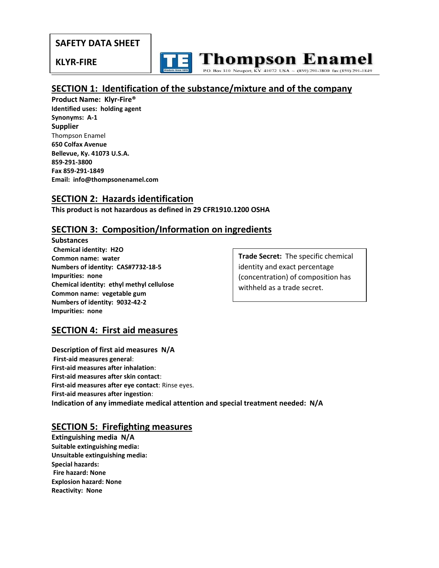## **SAFETY DATA SHEET**

#### **KLYR-FIRE**

 $\overline{a}$ 

**Thompson Enamel** 310 Newport, KY 41072 USA  $\sim$  (859) 291-3800 fax (859) 291-1849

# **SECTION 1: Identification of the substance/mixture and of the company**

**Product Name: Klyr-Fire® Identified uses: holding agent Synonyms: A-1 Supplier** Thompson Enamel **650 Colfax Avenue Bellevue, Ky. 41073 U.S.A. 859-291-3800 Fax 859-291-1849 Email: info@thompsonenamel.com** 

#### **SECTION 2: Hazards identification**

**This product is not hazardous as defined in 29 CFR1910.1200 OSHA**

## **SECTION 3: Composition/Information on ingredients**

**Substances Chemical identity: H2O Common name: water Numbers of identity: CAS#7732-18-5 Impurities: none Chemical identity: ethyl methyl cellulose Common name: vegetable gum Numbers of identity: 9032-42-2 Impurities: none**

**Trade Secret:** The specific chemical identity and exact percentage (concentration) of composition has withheld as a trade secret.

# **SECTION 4: First aid measures**

**Description of first aid measures N/A First-aid measures general**: **First-aid measures after inhalation**: **First-aid measures after skin contact**: **First-aid measures after eye contact**: Rinse eyes. **First-aid measures after ingestion**: **Indication of any immediate medical attention and special treatment needed: N/A**

#### **SECTION 5: Firefighting measures**

**Extinguishing media N/A Suitable extinguishing media: Unsuitable extinguishing media: Special hazards: Fire hazard: None Explosion hazard: None Reactivity: None**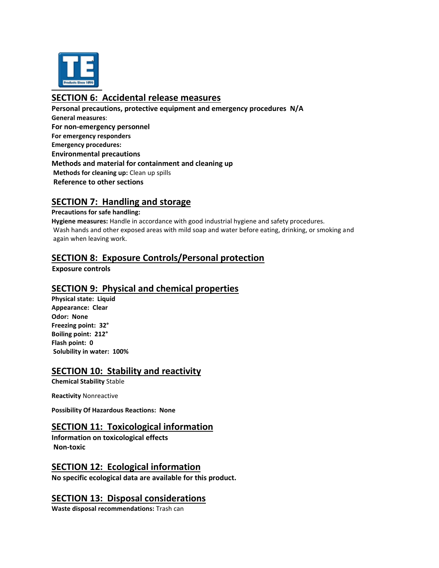

# **SECTION 6: Accidental release measures**

**Personal precautions, protective equipment and emergency procedures N/A General measures**: **For non-emergency personnel For emergency responders Emergency procedures: Environmental precautions Methods and material for containment and cleaning up Methods for cleaning up:** Clean up spills **Reference to other sections** 

#### **SECTION 7: Handling and storage**

#### **Precautions for safe handling:**

**Hygiene measures:** Handle in accordance with good industrial hygiene and safety procedures. Wash hands and other exposed areas with mild soap and water before eating, drinking, or smoking and again when leaving work.

## **SECTION 8: Exposure Controls/Personal protection**

 **Exposure controls** 

#### **SECTION 9: Physical and chemical properties**

**Physical state: Liquid Appearance: Clear Odor: None Freezing point: 32° Boiling point: 212° Flash point: 0 Solubility in water: 100%**

#### **SECTION 10: Stability and reactivity**

**Chemical Stability** Stable

**Reactivity** Nonreactive

**Possibility Of Hazardous Reactions: None**

#### **SECTION 11: Toxicological information**

**Information on toxicological effects Non-toxic**

#### **SECTION 12: Ecological information**

**No specific ecological data are available for this product.**

#### **SECTION 13: Disposal considerations**

**Waste disposal recommendations:** Trash can